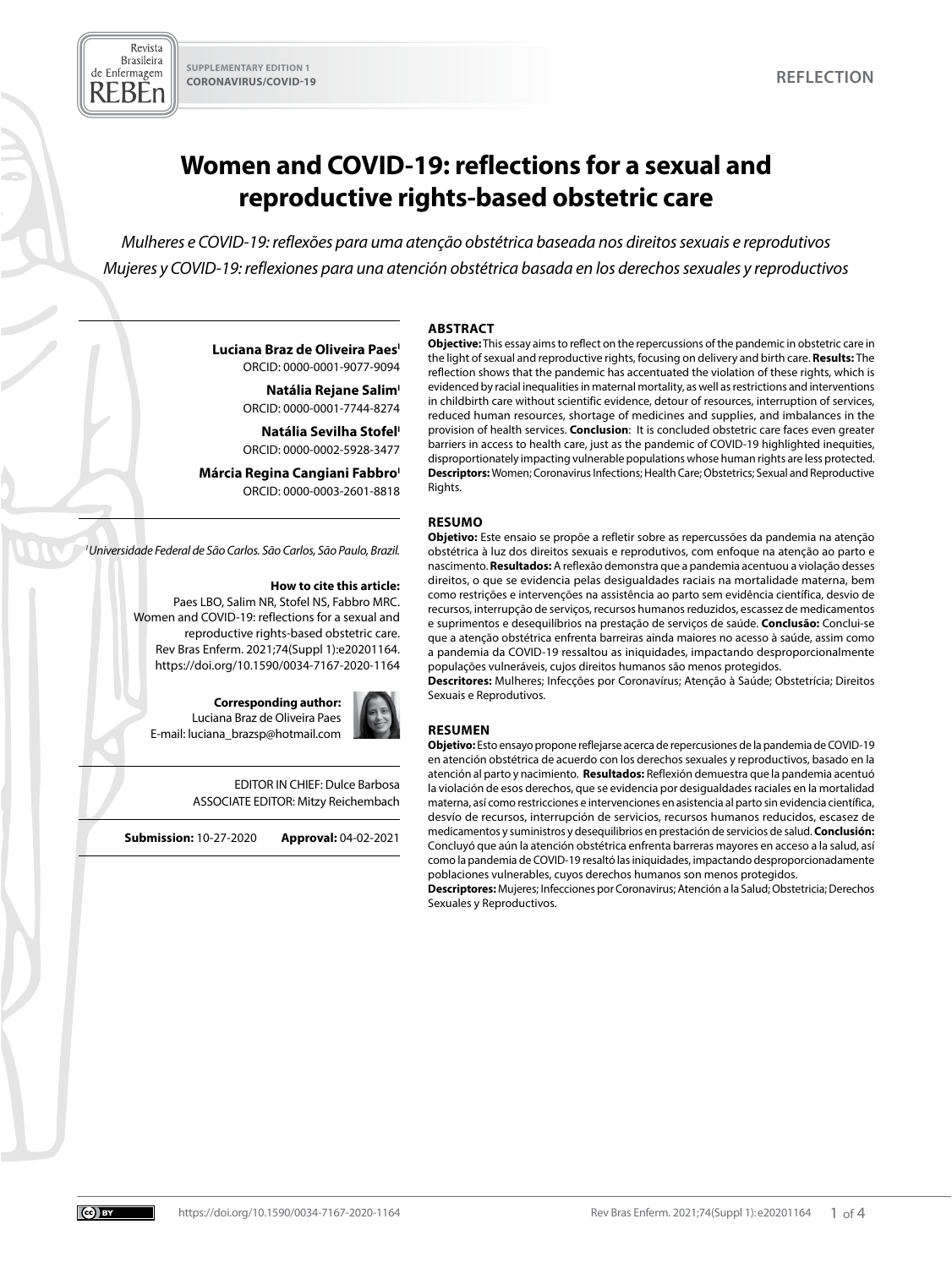

# **Women and COVID-19: reflections for a sexual and reproductive rights-based obstetric care**

*Mulheres e COVID-19: reflexões para uma atenção obstétrica baseada nos direitos sexuais e reprodutivos Mujeres y COVID-19: reflexiones para una atención obstétrica basada en los derechos sexuales y reproductivos*

# **ABSTRACT**

**Luciana Braz de Oliveira PaesI** ORCID: 0000-0001-9077-9094

**Natália Rejane Salim<sup>1</sup>** 

ORCID: 0000-0001-7744-8274

**Natália Sevilha Stofel<sup>1</sup>** ORCID: 0000-0002-5928-3477

**Márcia Regina Cangiani Fabbro**<sup>1</sup> ORCID: 0000-0003-2601-8818

*I Universidade Federal de São Carlos. São Carlos, São Paulo, Brazil.* 

#### **How to cite this article:**

Paes LBO, Salim NR, Stofel NS, Fabbro MRC. Women and COVID-19: reflections for a sexual and reproductive rights-based obstetric care. Rev Bras Enferm. 2021;74(Suppl 1):e20201164. <https://doi.org/10.1590/0034-7167-2020-1164>

**Corresponding author:**  Luciana Braz de Oliveira Paes E-mail: luciana\_brazsp@hotmail.com

> EDITOR IN CHIEF: Dulce Barbosa ASSOCIATE EDITOR: Mitzy Reichembach

**Submission:** 10-27-2020 **Approval:** 04-02-2021

**Objective:** This essay aims to reflect on the repercussions of the pandemic in obstetric care in the light of sexual and reproductive rights, focusing on delivery and birth care. **Results:** The reflection shows that the pandemic has accentuated the violation of these rights, which is evidenced by racial inequalities in maternal mortality, as well as restrictions and interventions in childbirth care without scientific evidence, detour of resources, interruption of services, reduced human resources, shortage of medicines and supplies, and imbalances in the provision of health services. **Conclusion**: It is concluded obstetric care faces even greater barriers in access to health care, just as the pandemic of COVID-19 highlighted inequities, disproportionately impacting vulnerable populations whose human rights are less protected. **Descriptors:** Women; Coronavirus Infections; Health Care; Obstetrics; Sexual and Reproductive Rights.

#### **RESUMO**

**Objetivo:** Este ensaio se propõe a refletir sobre as repercussões da pandemia na atenção obstétrica à luz dos direitos sexuais e reprodutivos, com enfoque na atenção ao parto e nascimento. **Resultados:** A reflexão demonstra que a pandemia acentuou a violação desses direitos, o que se evidencia pelas desigualdades raciais na mortalidade materna, bem como restrições e intervenções na assistência ao parto sem evidência científica, desvio de recursos, interrupção de serviços, recursos humanos reduzidos, escassez de medicamentos e suprimentos e desequilíbrios na prestação de serviços de saúde. **Conclusão:** Conclui-se que a atenção obstétrica enfrenta barreiras ainda maiores no acesso à saúde, assim como a pandemia da COVID-19 ressaltou as iniquidades, impactando desproporcionalmente populações vulneráveis, cujos direitos humanos são menos protegidos.

**Descritores:** Mulheres; Infecções por Coronavírus; Atenção à Saúde; Obstetrícia; Direitos Sexuais e Reprodutivos.

## **RESUMEN**

**Objetivo:** Esto ensayo propone reflejarse acerca de repercusiones de la pandemia de COVID-19 en atención obstétrica de acuerdo con los derechos sexuales y reproductivos, basado en la atención al parto y nacimiento. **Resultados:** Reflexión demuestra que la pandemia acentuó la violación de esos derechos, que se evidencia por desigualdades raciales en la mortalidad materna, así como restricciones e intervenciones en asistencia al parto sin evidencia científica, desvío de recursos, interrupción de servicios, recursos humanos reducidos, escasez de medicamentos y suministros y desequilibrios en prestación de servicios de salud. **Conclusión:**  Concluyó que aún la atención obstétrica enfrenta barreras mayores en acceso a la salud, así como la pandemia de COVID-19 resaltó las iniquidades, impactando desproporcionadamente poblaciones vulnerables, cuyos derechos humanos son menos protegidos.

**Descriptores:** Mujeres; Infecciones por Coronavirus; Atención a la Salud; Obstetricia; Derechos Sexuales y Reproductivos.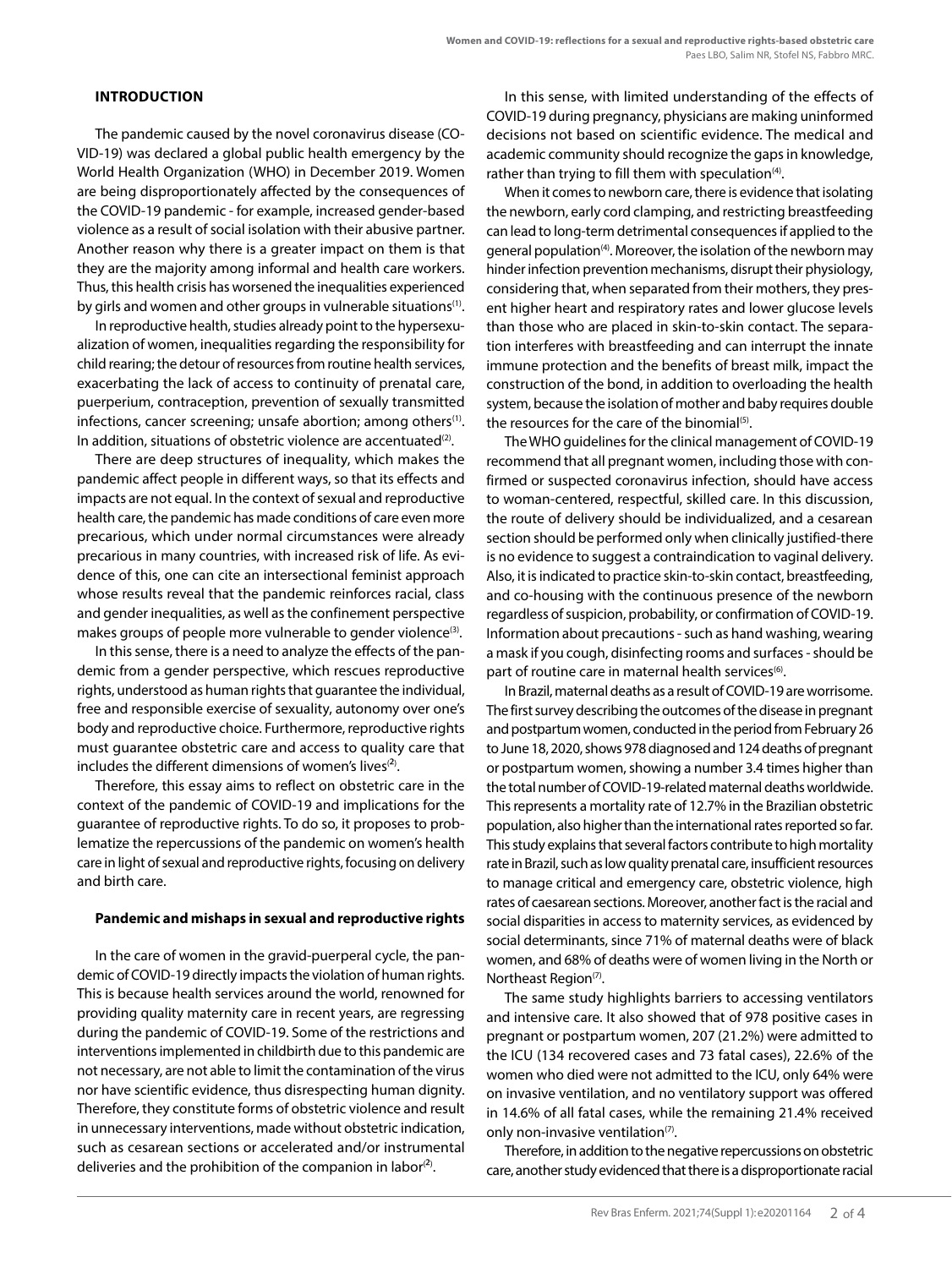## **INTRODUCTION**

The pandemic caused by the novel coronavirus disease (CO-VID-19) was declared a global public health emergency by the World Health Organization (WHO) in December 2019. Women are being disproportionately affected by the consequences of the COVID-19 pandemic - for example, increased gender-based violence as a result of social isolation with their abusive partner. Another reason why there is a greater impact on them is that they are the majority among informal and health care workers. Thus, this health crisis has worsened the inequalities experienced by girls and women and other groups in vulnerable situations<sup>(1)</sup>.

In reproductive health, studies already point to the hypersexualization of women, inequalities regarding the responsibility for child rearing; the detour of resources from routine health services, exacerbating the lack of access to continuity of prenatal care, puerperium, contraception, prevention of sexually transmitted infections, cancer screening; unsafe abortion; among others<sup>(1)</sup>. In addition, situations of obstetric violence are accentuated $(2)$ .

There are deep structures of inequality, which makes the pandemic affect people in different ways, so that its effects and impacts are not equal. In the context of sexual and reproductive health care, the pandemic has made conditions of care even more precarious, which under normal circumstances were already precarious in many countries, with increased risk of life. As evidence of this, one can cite an intersectional feminist approach whose results reveal that the pandemic reinforces racial, class and gender inequalities, as well as the confinement perspective makes groups of people more vulnerable to gender violence<sup>(3)</sup>.

In this sense, there is a need to analyze the effects of the pandemic from a gender perspective, which rescues reproductive rights, understood as human rights that guarantee the individual, free and responsible exercise of sexuality, autonomy over one's body and reproductive choice. Furthermore, reproductive rights must guarantee obstetric care and access to quality care that includes the different dimensions of women's lives<sup>(2)</sup>.

Therefore, this essay aims to reflect on obstetric care in the context of the pandemic of COVID-19 and implications for the guarantee of reproductive rights. To do so, it proposes to problematize the repercussions of the pandemic on women's health care in light of sexual and reproductive rights, focusing on delivery and birth care.

## **Pandemic and mishaps in sexual and reproductive rights**

In the care of women in the gravid-puerperal cycle, the pandemic of COVID-19 directly impacts the violation of human rights. This is because health services around the world, renowned for providing quality maternity care in recent years, are regressing during the pandemic of COVID-19. Some of the restrictions and interventions implemented in childbirth due to this pandemic are not necessary, are not able to limit the contamination of the virus nor have scientific evidence, thus disrespecting human dignity. Therefore, they constitute forms of obstetric violence and result in unnecessary interventions, made without obstetric indication, such as cesarean sections or accelerated and/or instrumental deliveries and the prohibition of the companion in labor $^{(2)}$ .

In this sense, with limited understanding of the effects of COVID-19 during pregnancy, physicians are making uninformed decisions not based on scientific evidence. The medical and academic community should recognize the gaps in knowledge, rather than trying to fill them with speculation<sup>(4)</sup>.

When it comes to newborn care, there is evidence that isolating the newborn, early cord clamping, and restricting breastfeeding can lead to long-term detrimental consequences if applied to the general population<sup>(4)</sup>. Moreover, the isolation of the newborn may hinder infection prevention mechanisms, disrupt their physiology, considering that, when separated from their mothers, they present higher heart and respiratory rates and lower glucose levels than those who are placed in skin-to-skin contact. The separation interferes with breastfeeding and can interrupt the innate immune protection and the benefits of breast milk, impact the construction of the bond, in addition to overloading the health system, because the isolation of mother and baby requires double the resources for the care of the binomial<sup>(5)</sup>.

The WHO guidelines for the clinical management of COVID-19 recommend that all pregnant women, including those with confirmed or suspected coronavirus infection, should have access to woman-centered, respectful, skilled care. In this discussion, the route of delivery should be individualized, and a cesarean section should be performed only when clinically justified-there is no evidence to suggest a contraindication to vaginal delivery. Also, it is indicated to practice skin-to-skin contact, breastfeeding, and co-housing with the continuous presence of the newborn regardless of suspicion, probability, or confirmation of COVID-19. Information about precautions - such as hand washing, wearing a mask if you cough, disinfecting rooms and surfaces - should be part of routine care in maternal health services<sup>(6)</sup>.

In Brazil, maternal deaths as a result of COVID-19 are worrisome. The first survey describing the outcomes of the disease in pregnant and postpartum women, conducted in the period from February 26 to June 18, 2020, shows 978 diagnosed and 124 deaths of pregnant or postpartum women, showing a number 3.4 times higher than the total number of COVID-19-related maternal deaths worldwide. This represents a mortality rate of 12.7% in the Brazilian obstetric population, also higher than the international rates reported so far. This study explains that several factors contribute to high mortality rate in Brazil, such as low quality prenatal care, insufficient resources to manage critical and emergency care, obstetric violence, high rates of caesarean sections. Moreover, another fact is the racial and social disparities in access to maternity services, as evidenced by social determinants, since 71% of maternal deaths were of black women, and 68% of deaths were of women living in the North or Northeast Region<sup>(7)</sup>.

The same study highlights barriers to accessing ventilators and intensive care. It also showed that of 978 positive cases in pregnant or postpartum women, 207 (21.2%) were admitted to the ICU (134 recovered cases and 73 fatal cases), 22.6% of the women who died were not admitted to the ICU, only 64% were on invasive ventilation, and no ventilatory support was offered in 14.6% of all fatal cases, while the remaining 21.4% received only non-invasive ventilation $(7)$ .

Therefore, in addition to the negative repercussions on obstetric care, another study evidenced that there is a disproportionate racial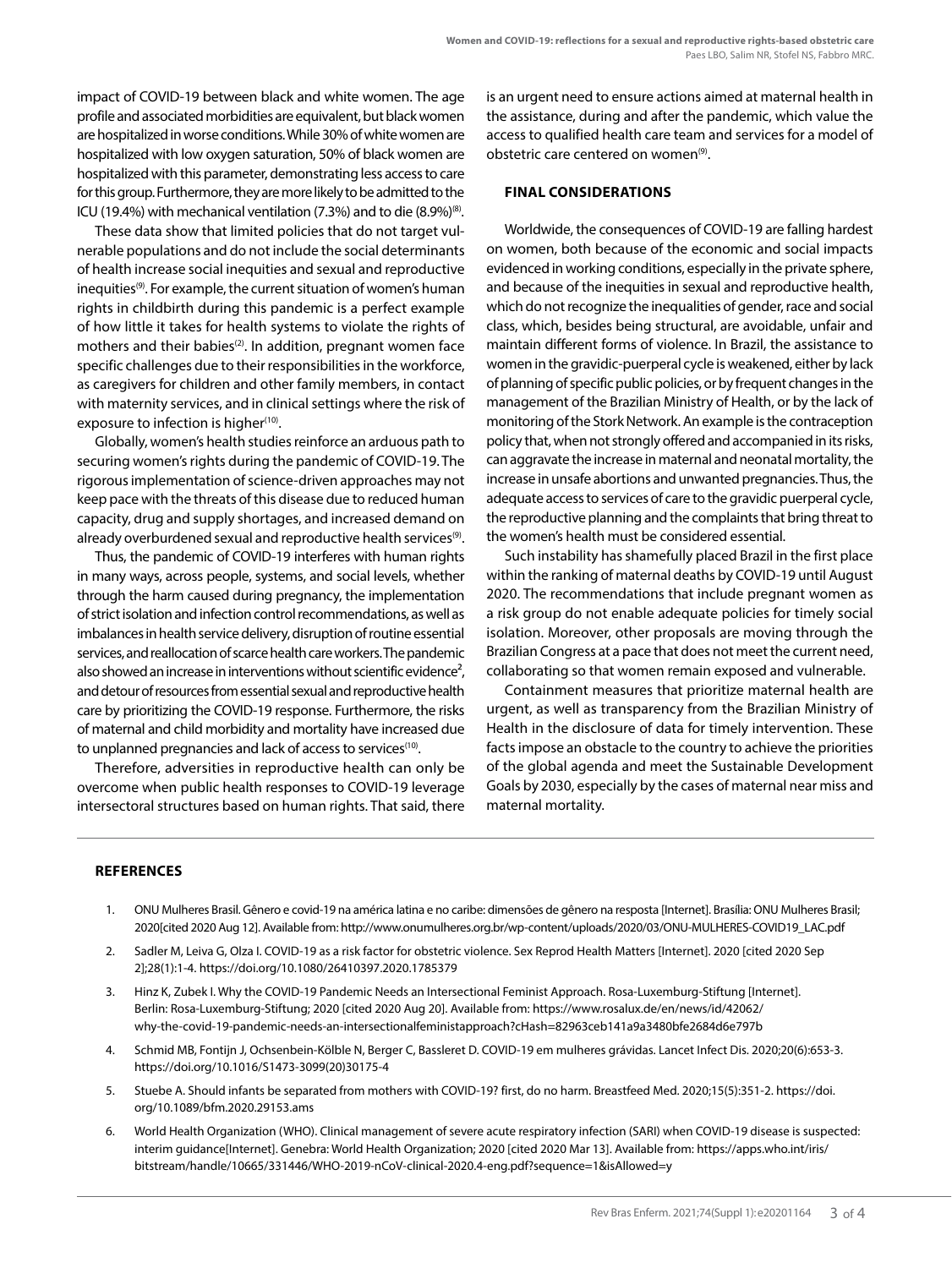impact of COVID-19 between black and white women. The age profile and associated morbidities are equivalent, but black women are hospitalized in worse conditions. While 30% of white women are hospitalized with low oxygen saturation, 50% of black women are hospitalized with this parameter, demonstrating less access to care for this group. Furthermore, they are more likely to be admitted to the ICU (19.4%) with mechanical ventilation (7.3%) and to die  $(8.9\%)^{\text{\tiny{(8)}}}$ .

These data show that limited policies that do not target vulnerable populations and do not include the social determinants of health increase social inequities and sexual and reproductive inequities<sup>(9)</sup>. For example, the current situation of women's human rights in childbirth during this pandemic is a perfect example of how little it takes for health systems to violate the rights of mothers and their babies<sup>(2)</sup>. In addition, pregnant women face specific challenges due to their responsibilities in the workforce, as caregivers for children and other family members, in contact with maternity services, and in clinical settings where the risk of exposure to infection is higher(10).

Globally, women's health studies reinforce an arduous path to securing women's rights during the pandemic of COVID-19. The rigorous implementation of science-driven approaches may not keep pace with the threats of this disease due to reduced human capacity, drug and supply shortages, and increased demand on already overburdened sexual and reproductive health services<sup>(9)</sup>.

Thus, the pandemic of COVID-19 interferes with human rights in many ways, across people, systems, and social levels, whether through the harm caused during pregnancy, the implementation of strict isolation and infection control recommendations, as well as imbalances in health service delivery, disruption of routine essential services, and reallocation of scarce health care workers. The pandemic also showed an increase in interventions without scientific evidence<sup>2</sup>, and detour of resources from essential sexual and reproductive health care by prioritizing the COVID-19 response. Furthermore, the risks of maternal and child morbidity and mortality have increased due to unplanned pregnancies and lack of access to services<sup>(10)</sup>.

Therefore, adversities in reproductive health can only be overcome when public health responses to COVID-19 leverage intersectoral structures based on human rights. That said, there is an urgent need to ensure actions aimed at maternal health in the assistance, during and after the pandemic, which value the access to qualified health care team and services for a model of obstetric care centered on women<sup>(9)</sup>.

# **FINAL CONSIDERATIONS**

Worldwide, the consequences of COVID-19 are falling hardest on women, both because of the economic and social impacts evidenced in working conditions, especially in the private sphere, and because of the inequities in sexual and reproductive health, which do not recognize the inequalities of gender, race and social class, which, besides being structural, are avoidable, unfair and maintain different forms of violence. In Brazil, the assistance to women in the gravidic-puerperal cycle is weakened, either by lack of planning of specific public policies, or by frequent changes in the management of the Brazilian Ministry of Health, or by the lack of monitoring of the Stork Network. An example is the contraception policy that, when not strongly offered and accompanied in its risks, can aggravate the increase in maternal and neonatal mortality, the increase in unsafe abortions and unwanted pregnancies. Thus, the adequate access to services of care to the gravidic puerperal cycle, the reproductive planning and the complaints that bring threat to the women's health must be considered essential.

Such instability has shamefully placed Brazil in the first place within the ranking of maternal deaths by COVID-19 until August 2020. The recommendations that include pregnant women as a risk group do not enable adequate policies for timely social isolation. Moreover, other proposals are moving through the Brazilian Congress at a pace that does not meet the current need, collaborating so that women remain exposed and vulnerable.

Containment measures that prioritize maternal health are urgent, as well as transparency from the Brazilian Ministry of Health in the disclosure of data for timely intervention. These facts impose an obstacle to the country to achieve the priorities of the global agenda and meet the Sustainable Development Goals by 2030, especially by the cases of maternal near miss and maternal mortality.

## **REFERENCES**

- 1. ONU Mulheres Brasil. Gênero e covid-19 na américa latina e no caribe: dimensões de gênero na resposta [Internet]. Brasília: ONU Mulheres Brasil; 2020[cited 2020 Aug 12]. Available from: http://www.onumulheres.org.br/wp-content/uploads/2020/03/ONU-MULHERES-COVID19\_LAC.pdf
- 2. Sadler M, Leiva G, Olza I. COVID-19 as a risk factor for obstetric violence. Sex Reprod Health Matters [Internet]. 2020 [cited 2020 Sep 2];28(1):1-4. https://doi.org/10.1080/26410397.2020.1785379
- 3. Hinz K, Zubek I. Why the COVID-19 Pandemic Needs an Intersectional Feminist Approach. Rosa-Luxemburg-Stiftung [Internet]. Berlin: Rosa-Luxemburg-Stiftung; 2020 [cited 2020 Aug 20]. Available from: https://www.rosalux.de/en/news/id/42062/ why-the-covid-19-pandemic-needs-an-intersectionalfeministapproach?cHash=82963ceb141a9a3480bfe2684d6e797b
- 4. Schmid MB, Fontijn J, Ochsenbein-Kölble N, Berger C, Bassleret D. COVID-19 em mulheres grávidas. Lancet Infect Dis. 2020;20(6):653-3. https://doi.org/10.1016/S1473-3099(20)30175-4
- 5. Stuebe A. Should infants be separated from mothers with COVID-19? first, do no harm. Breastfeed Med. 2020;15(5):351-2. https://doi. org/10.1089/bfm.2020.29153.ams
- 6. World Health Organization (WHO). Clinical management of severe acute respiratory infection (SARI) when COVID-19 disease is suspected: interim guidance[Internet]. Genebra: World Health Organization; 2020 [cited 2020 Mar 13]. Available from: https://apps.who.int/iris/ bitstream/handle/10665/331446/WHO-2019-nCoV-clinical-2020.4-eng.pdf?sequence=1&isAllowed=y